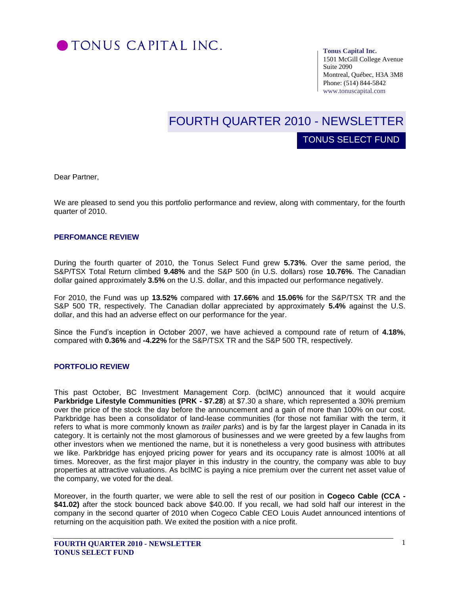

#### **Tonus Capital Inc.**

1501 McGill College Avenue Suite 2090 Montreal, Québec, H3A 3M8 Phone: (514) 844-5842 www.tonuscapital.com

# FOURTH QUARTER 2010 - NEWSLETTER

TONUS SELECT FUND

Dear Partner,

We are pleased to send you this portfolio performance and review, along with commentary, for the fourth quarter of 2010.

## **PERFOMANCE REVIEW**

During the fourth quarter of 2010, the Tonus Select Fund grew **5.73%**. Over the same period, the S&P/TSX Total Return climbed **9.48%** and the S&P 500 (in U.S. dollars) rose **10.76%**. The Canadian dollar gained approximately **3.5%** on the U.S. dollar, and this impacted our performance negatively.

S&P 500 TR, respectively. The Canadian dollar appreciated by approximately 5.4% against the U.S. For 2010, the Fund was up **13.52%** compared with **17.66%** and **15.06%** for the S&P/TSX TR and the dollar, and this had an adverse effect on our performance for the year.

Since the Fund's inception in October 2007, we have achieved a compound rate of return of **4.18%**, compared with **0.36%** and **-4.22%** for the S&P/TSX TR and the S&P 500 TR, respectively.

#### **PORTFOLIO REVIEW**

This past October, BC Investment Management Corp. (bcIMC) announced that it would acquire **Parkbridge Lifestyle Communities (PRK - \$7.28**) at \$7.30 a share, which represented a 30% premium over the price of the stock the day before the announcement and a gain of more than 100% on our cost. Parkbridge has been a consolidator of land-lease communities (for those not familiar with the term, it refers to what is more commonly known as *trailer parks*) and is by far the largest player in Canada in its category. It is certainly not the most glamorous of businesses and we were greeted by a few laughs from other investors when we mentioned the name, but it is nonetheless a very good business with attributes we like. Parkbridge has enjoyed pricing power for years and its occupancy rate is almost 100% at all times. Moreover, as the first major player in this industry in the country, the company was able to buy properties at attractive valuations. As bcIMC is paying a nice premium over the current net asset value of the company, we voted for the deal.

Moreover, in the fourth quarter, we were able to sell the rest of our position in **Cogeco Cable (CCA - \$41.02)** after the stock bounced back above \$40.00. If you recall, we had sold half our interest in the company in the second quarter of 2010 when Cogeco Cable CEO Louis Audet announced intentions of returning on the acquisition path. We exited the position with a nice profit.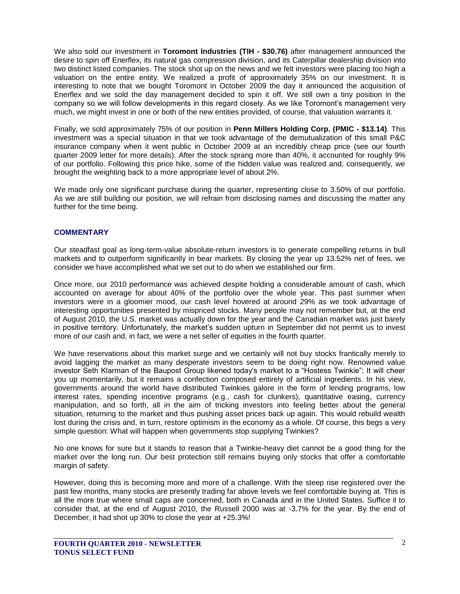We also sold our investment in **Toromont Industries (TIH - \$30.76)** after management announced the desire to spin off Enerflex, its natural gas compression division, and its Caterpillar dealership division into two distinct listed companies. The stock shot up on the news and we felt investors were placing too high a valuation on the entire entity. We realized a profit of approximately 35% on our investment. It is interesting to note that we bought Toromont in October 2009 the day it announced the acquisition of Enerflex and we sold the day management decided to spin it off. We still own a tiny position in the company so we will follow developments in this regard closely. As we like Toromont's management very much, we might invest in one or both of the new entities provided, of course, that valuation warrants it.

Finally, we sold approximately 75% of our position in **Penn Millers Holding Corp. (PMIC - \$13.14)**. This investment was a special situation in that we took advantage of the demutualization of this small P&C insurance company when it went public in October 2009 at an incredibly cheap price (see our fourth quarter 2009 letter for more details). After the stock sprang more than 40%, it accounted for roughly 9% of our portfolio. Following this price hike, some of the hidden value was realized and, consequently, we brought the weighting back to a more appropriate level of about 2%.

We made only one significant purchase during the quarter, representing close to 3.50% of our portfolio. As we are still building our position, we will refrain from disclosing names and discussing the matter any further for the time being.

## **COMMENTARY**

Our steadfast goal as long-term-value absolute-return investors is to generate compelling returns in bull markets and to outperform significantly in bear markets. By closing the year up 13.52% net of fees, we consider we have accomplished what we set out to do when we established our firm.

Once more, our 2010 performance was achieved despite holding a considerable amount of cash, which accounted on average for about 40% of the portfolio over the whole year. This past summer when investors were in a gloomier mood, our cash level hovered at around 29% as we took advantage of interesting opportunities presented by mispriced stocks. Many people may not remember but, at the end of August 2010, the U.S. market was actually down for the year and the Canadian market was just barely in positive territory. Unfortunately, the market's sudden upturn in September did not permit us to invest more of our cash and, in fact, we were a net seller of equities in the fourth quarter.

We have reservations about this market surge and we certainly will not buy stocks frantically merely to avoid lagging the market as many desperate investors seem to be doing right now. Renowned value investor Seth Klarman of the Baupost Group likened today's market to a "Hostess Twinkie": It will cheer you up momentarily, but it remains a confection composed entirely of artificial ingredients. In his view, governments around the world have distributed Twinkies galore in the form of lending programs, low interest rates, spending incentive programs (e.g., cash for clunkers), quantitative easing, currency manipulation, and so forth, all in the aim of tricking investors into feeling better about the general situation, returning to the market and thus pushing asset prices back up again. This would rebuild wealth lost during the crisis and, in turn, restore optimism in the economy as a whole. Of course, this begs a very simple question: What will happen when governments stop supplying Twinkies?

No one knows for sure but it stands to reason that a Twinkie-heavy diet cannot be a good thing for the market over the long run. Our best protection still remains buying only stocks that offer a comfortable margin of safety.

However, doing this is becoming more and more of a challenge. With the steep rise registered over the past few months, many stocks are presently trading far above levels we feel comfortable buying at. This is all the more true where small caps are concerned, both in Canada and in the United States. Suffice it to consider that, at the end of August 2010, the Russell 2000 was at -3.7% for the year. By the end of December, it had shot up 30% to close the year at +25.3%!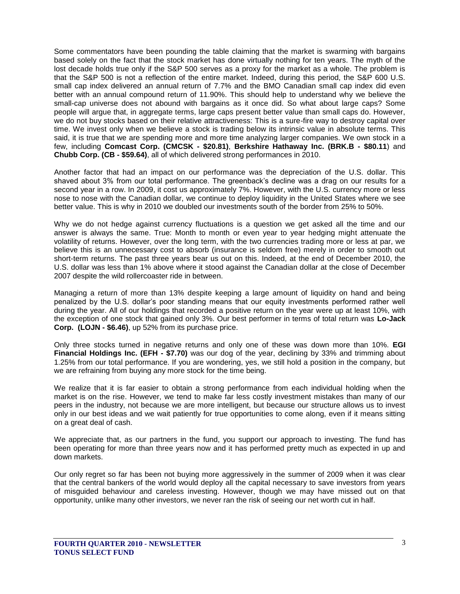Some commentators have been pounding the table claiming that the market is swarming with bargains based solely on the fact that the stock market has done virtually nothing for ten years. The myth of the lost decade holds true only if the S&P 500 serves as a proxy for the market as a whole. The problem is that the S&P 500 is not a reflection of the entire market. Indeed, during this period, the S&P 600 U.S. small cap index delivered an annual return of 7.7% and the BMO Canadian small cap index did even better with an annual compound return of 11.90%. This should help to understand why we believe the small-cap universe does not abound with bargains as it once did. So what about large caps? Some people will argue that, in aggregate terms, large caps present better value than small caps do. However, we do not buy stocks based on their relative attractiveness: This is a sure-fire way to destroy capital over time. We invest only when we believe a stock is trading below its intrinsic value in absolute terms. This said, it is true that we are spending more and more time analyzing larger companies. We own stock in a few, including **Comcast Corp. (CMCSK - \$20.81)**, **Berkshire Hathaway Inc. (BRK.B - \$80.11**) and **Chubb Corp. (CB - \$59.64)**, all of which delivered strong performances in 2010.

Another factor that had an impact on our performance was the depreciation of the U.S. dollar. This shaved about 3% from our total performance. The greenback's decline was a drag on our results for a second year in a row. In 2009, it cost us approximately 7%. However, with the U.S. currency more or less nose to nose with the Canadian dollar, we continue to deploy liquidity in the United States where we see better value. This is why in 2010 we doubled our investments south of the border from 25% to 50%.

Why we do not hedge against currency fluctuations is a question we get asked all the time and our answer is always the same. True: Month to month or even year to year hedging might attenuate the volatility of returns. However, over the long term, with the two currencies trading more or less at par, we believe this is an unnecessary cost to absorb (insurance is seldom free) merely in order to smooth out short-term returns. The past three years bear us out on this. Indeed, at the end of December 2010, the U.S. dollar was less than 1% above where it stood against the Canadian dollar at the close of December 2007 despite the wild rollercoaster ride in between.

Managing a return of more than 13% despite keeping a large amount of liquidity on hand and being penalized by the U.S. dollar's poor standing means that our equity investments performed rather well during the year. All of our holdings that recorded a positive return on the year were up at least 10%, with the exception of one stock that gained only 3%. Our best performer in terms of total return was **Lo-Jack Corp. (LOJN - \$6.46)**, up 52% from its purchase price.

Only three stocks turned in negative returns and only one of these was down more than 10%. **EGI Financial Holdings Inc. (EFH - \$7.70)** was our dog of the year, declining by 33% and trimming about 1.25% from our total performance. If you are wondering, yes, we still hold a position in the company, but we are refraining from buying any more stock for the time being.

We realize that it is far easier to obtain a strong performance from each individual holding when the market is on the rise. However, we tend to make far less costly investment mistakes than many of our peers in the industry, not because we are more intelligent, but because our structure allows us to invest only in our best ideas and we wait patiently for true opportunities to come along, even if it means sitting on a great deal of cash.

We appreciate that, as our partners in the fund, you support our approach to investing. The fund has been operating for more than three years now and it has performed pretty much as expected in up and down markets.

Our only regret so far has been not buying more aggressively in the summer of 2009 when it was clear that the central bankers of the world would deploy all the capital necessary to save investors from years of misguided behaviour and careless investing. However, though we may have missed out on that opportunity, unlike many other investors, we never ran the risk of seeing our net worth cut in half.